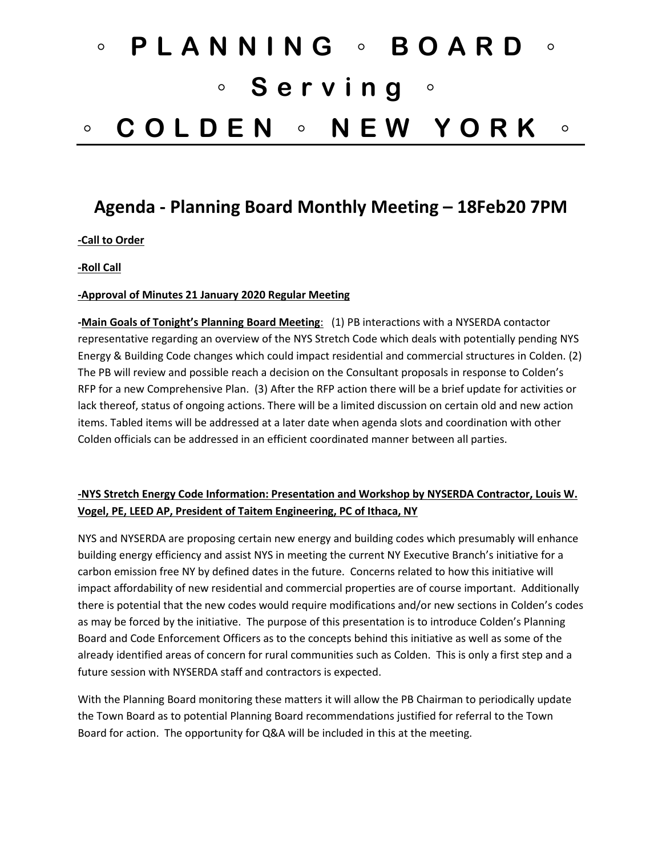# ◦ **PLANNING** ◦ **BOARD** ◦ ◦ **Serving** ◦ ◦ **COLDEN** ◦ **NEW YORK** ◦

# **Agenda - Planning Board Monthly Meeting – 18Feb20 7PM**

**-Call to Order**

**-Roll Call**

## **-Approval of Minutes 21 January 2020 Regular Meeting**

**-Main Goals of Tonight's Planning Board Meeting**: (1) PB interactions with a NYSERDA contactor representative regarding an overview of the NYS Stretch Code which deals with potentially pending NYS Energy & Building Code changes which could impact residential and commercial structures in Colden. (2) The PB will review and possible reach a decision on the Consultant proposals in response to Colden's RFP for a new Comprehensive Plan. (3) After the RFP action there will be a brief update for activities or lack thereof, status of ongoing actions. There will be a limited discussion on certain old and new action items. Tabled items will be addressed at a later date when agenda slots and coordination with other Colden officials can be addressed in an efficient coordinated manner between all parties.

# **-NYS Stretch Energy Code Information: Presentation and Workshop by NYSERDA Contractor, Louis W. Vogel, PE, LEED AP, President of Taitem Engineering, PC of Ithaca, NY**

NYS and NYSERDA are proposing certain new energy and building codes which presumably will enhance building energy efficiency and assist NYS in meeting the current NY Executive Branch's initiative for a carbon emission free NY by defined dates in the future. Concerns related to how this initiative will impact affordability of new residential and commercial properties are of course important. Additionally there is potential that the new codes would require modifications and/or new sections in Colden's codes as may be forced by the initiative. The purpose of this presentation is to introduce Colden's Planning Board and Code Enforcement Officers as to the concepts behind this initiative as well as some of the already identified areas of concern for rural communities such as Colden. This is only a first step and a future session with NYSERDA staff and contractors is expected.

With the Planning Board monitoring these matters it will allow the PB Chairman to periodically update the Town Board as to potential Planning Board recommendations justified for referral to the Town Board for action. The opportunity for Q&A will be included in this at the meeting.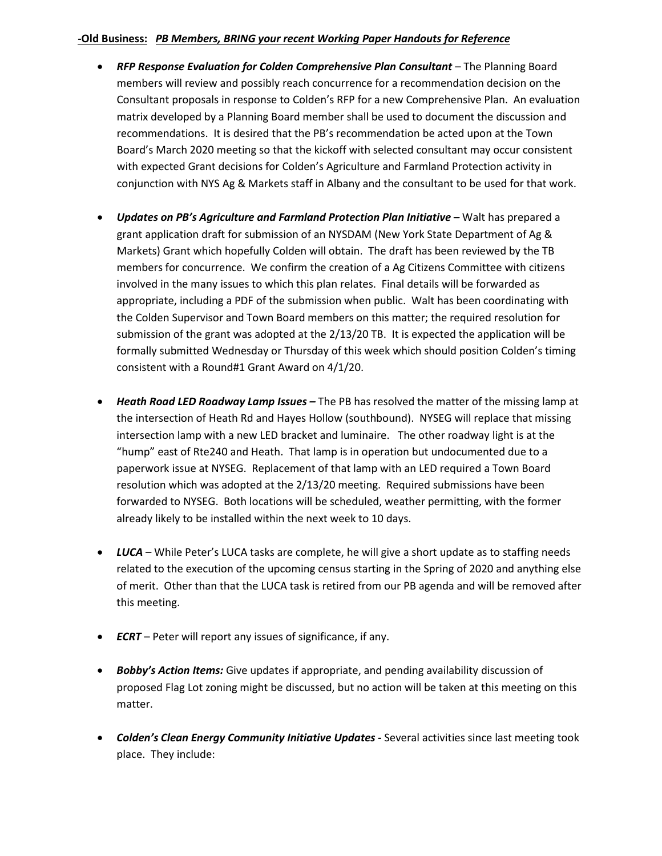## **-Old Business:** *PB Members, BRING your recent Working Paper Handouts for Reference*

- **RFP Response Evaluation for Colden Comprehensive Plan Consultant** The Planning Board members will review and possibly reach concurrence for a recommendation decision on the Consultant proposals in response to Colden's RFP for a new Comprehensive Plan. An evaluation matrix developed by a Planning Board member shall be used to document the discussion and recommendations. It is desired that the PB's recommendation be acted upon at the Town Board's March 2020 meeting so that the kickoff with selected consultant may occur consistent with expected Grant decisions for Colden's Agriculture and Farmland Protection activity in conjunction with NYS Ag & Markets staff in Albany and the consultant to be used for that work.
- *Updates on PB's Agriculture and Farmland Protection Plan Initiative –* Walt has prepared a grant application draft for submission of an NYSDAM (New York State Department of Ag & Markets) Grant which hopefully Colden will obtain. The draft has been reviewed by the TB members for concurrence. We confirm the creation of a Ag Citizens Committee with citizens involved in the many issues to which this plan relates. Final details will be forwarded as appropriate, including a PDF of the submission when public. Walt has been coordinating with the Colden Supervisor and Town Board members on this matter; the required resolution for submission of the grant was adopted at the 2/13/20 TB. It is expected the application will be formally submitted Wednesday or Thursday of this week which should position Colden's timing consistent with a Round#1 Grant Award on 4/1/20.
- *Heath Road LED Roadway Lamp Issues –* The PB has resolved the matter of the missing lamp at the intersection of Heath Rd and Hayes Hollow (southbound). NYSEG will replace that missing intersection lamp with a new LED bracket and luminaire. The other roadway light is at the "hump" east of Rte240 and Heath. That lamp is in operation but undocumented due to a paperwork issue at NYSEG. Replacement of that lamp with an LED required a Town Board resolution which was adopted at the 2/13/20 meeting. Required submissions have been forwarded to NYSEG. Both locations will be scheduled, weather permitting, with the former already likely to be installed within the next week to 10 days.
- LUCA While Peter's LUCA tasks are complete, he will give a short update as to staffing needs related to the execution of the upcoming census starting in the Spring of 2020 and anything else of merit. Other than that the LUCA task is retired from our PB agenda and will be removed after this meeting.
- *ECRT*  Peter will report any issues of significance, if any.
- *Bobby's Action Items:* Give updates if appropriate, and pending availability discussion of proposed Flag Lot zoning might be discussed, but no action will be taken at this meeting on this matter.
- *Colden's Clean Energy Community Initiative Updates -* Several activities since last meeting took place. They include: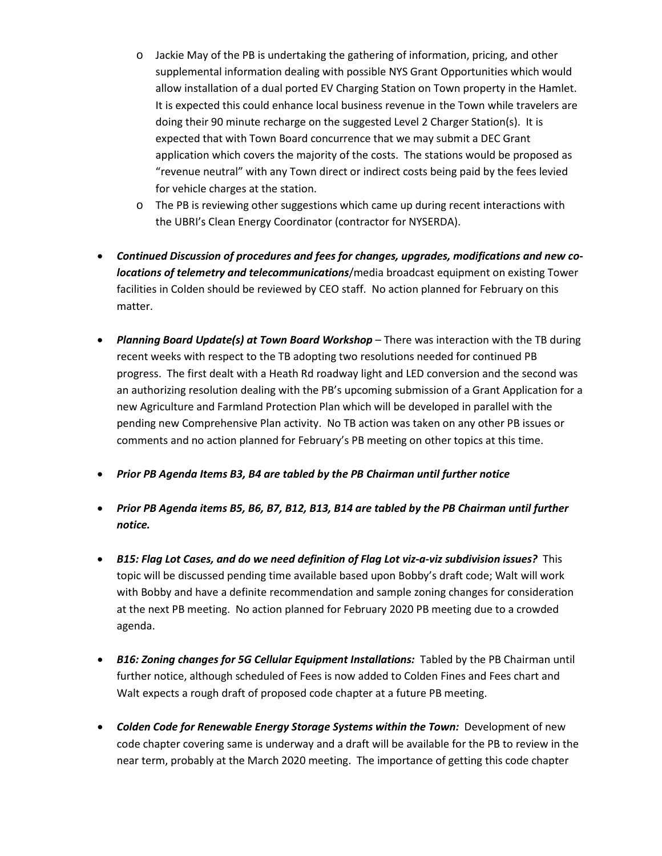- o Jackie May of the PB is undertaking the gathering of information, pricing, and other supplemental information dealing with possible NYS Grant Opportunities which would allow installation of a dual ported EV Charging Station on Town property in the Hamlet. It is expected this could enhance local business revenue in the Town while travelers are doing their 90 minute recharge on the suggested Level 2 Charger Station(s). It is expected that with Town Board concurrence that we may submit a DEC Grant application which covers the majority of the costs. The stations would be proposed as "revenue neutral" with any Town direct or indirect costs being paid by the fees levied for vehicle charges at the station.
- o The PB is reviewing other suggestions which came up during recent interactions with the UBRI's Clean Energy Coordinator (contractor for NYSERDA).
- *Continued Discussion of procedures and fees for changes, upgrades, modifications and new colocations of telemetry and telecommunications*/media broadcast equipment on existing Tower facilities in Colden should be reviewed by CEO staff. No action planned for February on this matter.
- *Planning Board Update(s) at Town Board Workshop* There was interaction with the TB during recent weeks with respect to the TB adopting two resolutions needed for continued PB progress. The first dealt with a Heath Rd roadway light and LED conversion and the second was an authorizing resolution dealing with the PB's upcoming submission of a Grant Application for a new Agriculture and Farmland Protection Plan which will be developed in parallel with the pending new Comprehensive Plan activity. No TB action was taken on any other PB issues or comments and no action planned for February's PB meeting on other topics at this time.
- *Prior PB Agenda Items B3, B4 are tabled by the PB Chairman until further notice*
- *Prior PB Agenda items B5, B6, B7, B12, B13, B14 are tabled by the PB Chairman until further notice.*
- *B15: Flag Lot Cases, and do we need definition of Flag Lot viz-a-viz subdivision issues?* This topic will be discussed pending time available based upon Bobby's draft code; Walt will work with Bobby and have a definite recommendation and sample zoning changes for consideration at the next PB meeting. No action planned for February 2020 PB meeting due to a crowded agenda.
- *B16: Zoning changes for 5G Cellular Equipment Installations:* Tabled by the PB Chairman until further notice, although scheduled of Fees is now added to Colden Fines and Fees chart and Walt expects a rough draft of proposed code chapter at a future PB meeting.
- *Colden Code for Renewable Energy Storage Systems within the Town: Development of new* code chapter covering same is underway and a draft will be available for the PB to review in the near term, probably at the March 2020 meeting. The importance of getting this code chapter